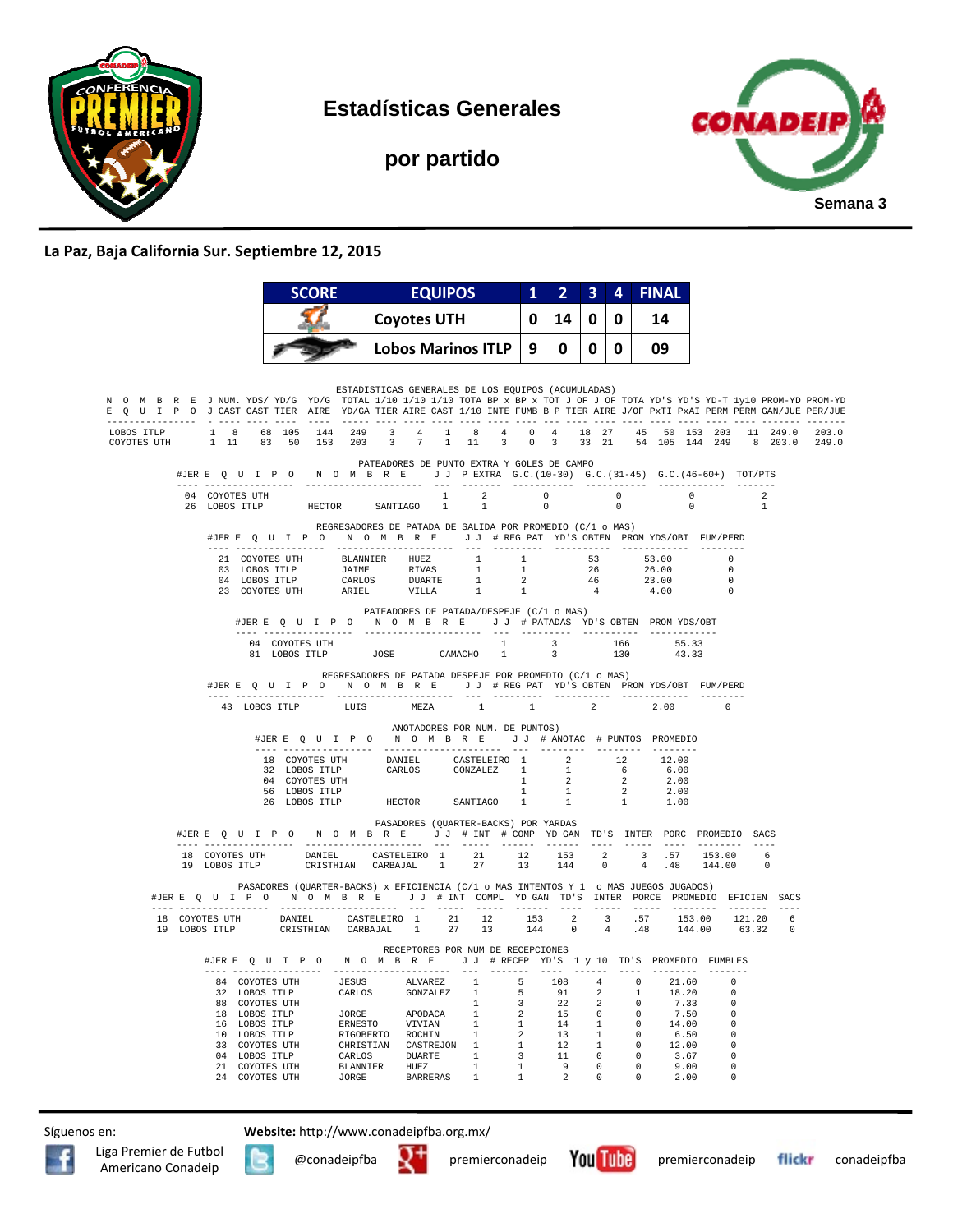

**Estadísticas Generales** 

**por partido** 



## **La Paz, Baja California Sur. Septiembre 12, 2015**

|                                                                                                                                                                                                                                                        |                                 | <b>SCORE</b>                                               |                           | <b>EQUIPOS</b>     |                                                                                                                                                                                                                                                                                                                   | 2 <sub>1</sub><br>1 <sup>1</sup><br>10.<br>0<br>14                                         |                                         | 4                                                | <b>FINAL</b>                               |                                  |                          |                            |                                  |                                   |  |
|--------------------------------------------------------------------------------------------------------------------------------------------------------------------------------------------------------------------------------------------------------|---------------------------------|------------------------------------------------------------|---------------------------|--------------------|-------------------------------------------------------------------------------------------------------------------------------------------------------------------------------------------------------------------------------------------------------------------------------------------------------------------|--------------------------------------------------------------------------------------------|-----------------------------------------|--------------------------------------------------|--------------------------------------------|----------------------------------|--------------------------|----------------------------|----------------------------------|-----------------------------------|--|
|                                                                                                                                                                                                                                                        |                                 |                                                            |                           | <b>Coyotes UTH</b> |                                                                                                                                                                                                                                                                                                                   |                                                                                            |                                         | 0                                                | 14                                         |                                  |                          |                            |                                  |                                   |  |
|                                                                                                                                                                                                                                                        |                                 |                                                            | <b>Lobos Marinos ITLP</b> |                    |                                                                                                                                                                                                                                                                                                                   | 0                                                                                          | <sup>0</sup>                            | 0                                                | 09                                         |                                  |                          |                            |                                  |                                   |  |
|                                                                                                                                                                                                                                                        |                                 |                                                            |                           |                    |                                                                                                                                                                                                                                                                                                                   |                                                                                            |                                         |                                                  |                                            |                                  |                          |                            |                                  |                                   |  |
| N O M B R E J NUM. YDS/YD/G YD/G TOTAL 1/10 1/10 1/10 TOTA BP x BP x TOT J OF J OF TOTA YD'S YD-T 1y10 PROM-YD PROM-YD<br>E Q U I P O J CAST CAST TIER AIRE YD/GA TIER AIRE CAST 1/10 INTE FUMB B P TIER AIRE J/OF PxTI PxAI PERM PERM GAN/JUE PER/JUE |                                 |                                                            |                           |                    | ESTADISTICAS GENERALES DE LOS EQUIPOS (ACUMULADAS)<br>, a cool colo colo (colo (color colo colo colo colo colo colo col colo colo colo colo colo colo colored colore                                                                                                                                              |                                                                                            |                                         |                                                  |                                            |                                  |                          |                            |                                  |                                   |  |
| LOBOS ITLP<br>COYOTES UTH                                                                                                                                                                                                                              |                                 |                                                            |                           |                    | 1 8 68 105 144 249 3 4 1 8 4 0 4 18 27 45 50 153 203 11 249.0 203.0<br>1 11 83 50 153 203 3 7 1 11 3 0 3 33 21 54 105 144 249 8 203.0 249.0                                                                                                                                                                       |                                                                                            |                                         |                                                  |                                            |                                  |                          |                            |                                  |                                   |  |
|                                                                                                                                                                                                                                                        |                                 |                                                            |                           |                    | PATEADORES DE PUNTO EXTRA Y GOLES DE CAMPO<br>#JERE Q U I P O N O M B R E J J PEXTRA G.C. (10-30) G.C. (31-45) G.C. (46-60+) TOT/PTS                                                                                                                                                                              |                                                                                            |                                         |                                                  |                                            |                                  |                          |                            |                                  |                                   |  |
|                                                                                                                                                                                                                                                        | 04 COYOTES UTH<br>26 LOBOS ITLP |                                                            | HECTOR SANTIAGO 1         |                    | $\begin{array}{ccccccc}\n1 & 2 & 0 & 0 & 0 \\ 1 & 1 & 0 & 0 & 0\n\end{array}$<br>1                                                                                                                                                                                                                                |                                                                                            | $\overline{0}$                          |                                                  | $\overline{0}$                             |                                  | $\overline{\phantom{0}}$ |                            | $\overline{2}$<br>$\overline{1}$ |                                   |  |
|                                                                                                                                                                                                                                                        |                                 |                                                            |                           |                    | REGRESADORES DE PATADA DE SALIDA POR PROMEDIO (C/1 o MAS)<br>#JERE Q U I P O N O M B R E J J # REG PAT YD'S OBTEN PROM YDS/OBT FUM/PERD                                                                                                                                                                           |                                                                                            |                                         |                                                  |                                            |                                  |                          |                            |                                  |                                   |  |
|                                                                                                                                                                                                                                                        |                                 |                                                            |                           |                    |                                                                                                                                                                                                                                                                                                                   |                                                                                            |                                         |                                                  |                                            | 26.00                            |                          | 53.00 0<br>$\overline{0}$  |                                  |                                   |  |
|                                                                                                                                                                                                                                                        |                                 |                                                            |                           |                    | $\begin{tabular}{cccccccc} 21 & COYOTES&UTH & BLANNIER & HUEZ & 1 & 1 & 53 \\ 03 & LOBOS & TTLP & JAINHE & RIVAS & 1 & 1 & 26 \\ 04 & LOBOS & TTLP & CARLOS & DURATE & 1 & 2 & 46 \\ 23 & COYOTES &UTH & ARIEL & VILLA & 1 & 1 & 4 \\ \end{tabular}$                                                              |                                                                                            |                                         |                                                  |                                            | $23.00$<br>$4.00$                |                          | $\Omega$<br>$\overline{0}$ |                                  |                                   |  |
|                                                                                                                                                                                                                                                        |                                 | #JERE Q U I P O                                            |                           |                    | PATEADORES DE PATADA/DESPEJE (C/1 o MAS)<br>N O M B R E J J # PATADAS YD'S OBTEN PROMYDS/OBT                                                                                                                                                                                                                      |                                                                                            |                                         |                                                  |                                            |                                  |                          |                            |                                  |                                   |  |
|                                                                                                                                                                                                                                                        |                                 | _______________________<br>04 COYOTES UTH<br>81 LOBOS ITLP | JOSE CAMACHO              |                    | 1                                                                                                                                                                                                                                                                                                                 | $\begin{array}{cccccc} 1 & & 3 & & 166 & & 55.33 \\ 1 & & 3 & & 130 & & 43.33 \end{array}$ |                                         |                                                  | 130                                        |                                  | 43.33                    |                            |                                  |                                   |  |
|                                                                                                                                                                                                                                                        |                                 |                                                            |                           |                    | REGRESADORES DE PATADA DESPEJE POR PROMEDIO (C/1 o MAS)<br>#JERE Q U I P O N O M B R E J J # REG PAT YD'S OBTEN PROM YDS/OBT FUM/PERD                                                                                                                                                                             |                                                                                            |                                         |                                                  |                                            |                                  |                          |                            |                                  |                                   |  |
|                                                                                                                                                                                                                                                        | 43 LOBOS TTLP                   | ---- -----------------                                     | ---------------------     |                    | LUIS MEZA 1 1                                                                                                                                                                                                                                                                                                     |                                                                                            |                                         | $\overline{2}$                                   |                                            |                                  | 2.00                     | $\Omega$                   |                                  |                                   |  |
|                                                                                                                                                                                                                                                        |                                 |                                                            |                           |                    | ANOTADORES POR NUM. DE PUNTOS)<br>#JERE Q U I P O N O M B R E J J # ANOTAC # PUNTOS PROMEDIO                                                                                                                                                                                                                      |                                                                                            |                                         |                                                  |                                            |                                  |                          |                            |                                  |                                   |  |
|                                                                                                                                                                                                                                                        |                                 |                                                            |                           |                    |                                                                                                                                                                                                                                                                                                                   |                                                                                            |                                         |                                                  |                                            |                                  |                          |                            |                                  |                                   |  |
|                                                                                                                                                                                                                                                        |                                 |                                                            |                           |                    | $\begin{tabular}{lcccccc} 18 & \text{COYOTES UTH} & & & \text{DANIEL} & & \text{CASTELEIRO} & 1 & & 2 & & 12 & & 12.00 \\ 32 & \text{LOBOS ITLP} & & & \text{CARLOS} & & \text{GONZALEZ} & 1 & & 1 & & 6 & & 6.00 \\ 04 & \text{COYOTES UTH} & & & & & \text{CARLOS} & & & 1 & & 2 & & 2 & 2.00 \\ \end{tabular}$ |                                                                                            |                                         |                                                  |                                            |                                  |                          |                            |                                  |                                   |  |
|                                                                                                                                                                                                                                                        |                                 | 56 LOBOS ITLP                                              |                           |                    |                                                                                                                                                                                                                                                                                                                   | 1                                                                                          | 1                                       |                                                  | $\overline{2}$                             |                                  | 2.00                     |                            |                                  |                                   |  |
|                                                                                                                                                                                                                                                        |                                 | 26 LOBOS ITLP                                              |                           |                    | HECTOR SANTIAGO<br>PASADORES (QUARTER-BACKS) POR YARDAS                                                                                                                                                                                                                                                           | $\sim$ 1                                                                                   | 1                                       |                                                  | 1                                          |                                  | 1.00                     |                            |                                  |                                   |  |
|                                                                                                                                                                                                                                                        |                                 |                                                            |                           |                    | #JER E Q U I P O N O M B R E J J # INT # COMP YD GAN TD'S INTER PORC PROMEDIO SACS                                                                                                                                                                                                                                |                                                                                            |                                         |                                                  |                                            |                                  |                          |                            |                                  |                                   |  |
|                                                                                                                                                                                                                                                        |                                 |                                                            |                           |                    | $\begin{tabular}{cccccccccc} 18 & COYOTES&UTH & &DANIEL & CASTELEIRO & 1 & 21 & 12 & 153 & 2 & 3 & .57 & 153.00 & 6 \\ 19 & LOBOS&ITLP & &CRISTHIAN & CARBAJAL & 1 & 27 & 13 & 144 & 0 & 4 & .48 & 144.00 & 0 \\ \end{tabular}$                                                                                   |                                                                                            |                                         |                                                  |                                            |                                  |                          |                            |                                  |                                   |  |
|                                                                                                                                                                                                                                                        |                                 |                                                            |                           |                    | PASADORES (QUARTER-BACKS) x EFICIENCIA (C/1 o MAS INTENTOS Y 1 o MAS JUEGOS JUGADOS)<br>#JERE Q U I P O N O M B R E U J # INT COMPL YD GAN TD'S INTER PORCE PROMEDIO EFICIEN SACS                                                                                                                                 |                                                                                            |                                         |                                                  |                                            |                                  |                          |                            |                                  |                                   |  |
|                                                                                                                                                                                                                                                        |                                 |                                                            |                           |                    | $\begin{tabular}{cccccccc} 18 & \texttt{COYOTES UTH} & \texttt{DANIEL} & \texttt{CASTELEIRO} & 1 & 21 & 12 & 153 & 2 & 3 & .57 & 153.00 & 121.20 \\ 19 & \texttt{LOBOS ITLP} & \texttt{CRISTHIAN} & \texttt{CARBAJAL} & 1 & 27 & 13 & 144 & 0 & 4 & .48 & 144.00 & 63.32 \\ \end{tabular}$                        |                                                                                            |                                         |                                                  |                                            |                                  |                          |                            |                                  | $6\overline{6}$<br>$\overline{0}$ |  |
|                                                                                                                                                                                                                                                        |                                 |                                                            |                           |                    | RECEPTORES POR NUM DE RECEPCIONES                                                                                                                                                                                                                                                                                 |                                                                                            |                                         |                                                  |                                            |                                  |                          |                            |                                  |                                   |  |
|                                                                                                                                                                                                                                                        |                                 |                                                            |                           |                    | #JERE Q U I P O N O M B R E J J # RECEP YD'S 1 y 10 TD'S PROMEDIO FUMBLES                                                                                                                                                                                                                                         |                                                                                            |                                         |                                                  |                                            |                                  |                          |                            |                                  |                                   |  |
|                                                                                                                                                                                                                                                        |                                 |                                                            |                           |                    |                                                                                                                                                                                                                                                                                                                   |                                                                                            | 108<br>91                               | $\overline{4}$<br>$\overline{\phantom{a}}$       |                                            | $\overline{0}$<br>$\mathbf{1}$   | 21.60<br>18.20           |                            | $\Omega$<br>$\Omega$             |                                   |  |
|                                                                                                                                                                                                                                                        |                                 |                                                            |                           |                    |                                                                                                                                                                                                                                                                                                                   |                                                                                            | 22                                      |                                                  |                                            | $\Omega$                         | 7.33                     |                            | $\Omega$                         |                                   |  |
|                                                                                                                                                                                                                                                        |                                 |                                                            |                           |                    | 84 COYOTES UTH JESUS ALVAREZ 1 5<br>32 LOBOS ITLP CARLOS GONZALEZ 1 5<br>88 COYOTES UTH JORGE APODACA 1 2<br>16 LOBOS ITLP JORGE APODACA 1 2<br>16 LOBOS ITLP ERNESTO VIVIAN 1 1<br>20 COVOTES UTH CHOBES COCHIN 3 CONTRESSENT COLORES A                                                                          |                                                                                            | $15\,$                                  | $\begin{smallmatrix}2\\0\\0\\1\end{smallmatrix}$ |                                            | $\overline{0}$                   | 7.50                     |                            | $^{\circ}$                       |                                   |  |
|                                                                                                                                                                                                                                                        |                                 |                                                            |                           |                    |                                                                                                                                                                                                                                                                                                                   |                                                                                            | $14\,$<br>13                            | $\mathbf{1}$                                     |                                            | $\overline{0}$<br>$\overline{0}$ | 14.00<br>6.50            |                            | $^{\circ}$<br>$^{\circ}$         |                                   |  |
|                                                                                                                                                                                                                                                        | 33 COYOTES UTH                  |                                                            |                           |                    |                                                                                                                                                                                                                                                                                                                   |                                                                                            |                                         | $\mathbf{1}$                                     |                                            | $\overline{0}$                   | 12.00                    |                            | $\overline{\phantom{0}}$         |                                   |  |
|                                                                                                                                                                                                                                                        | 04 LOBOS ITLP                   |                                                            |                           |                    | CHRISTIAN CASTREJON 1 1<br>CARLOS DUARTE 1 3<br>BLANNIER HUEZ 1 1                                                                                                                                                                                                                                                 |                                                                                            | $\begin{array}{c} 12 \\ 11 \end{array}$ | $\overline{\phantom{0}}$                         | $\begin{array}{c} 0 \\ 0 \\ 0 \end{array}$ |                                  | 3.67                     |                            | $\overline{\phantom{0}}$         |                                   |  |
|                                                                                                                                                                                                                                                        |                                 | 21 COYOTES UTH<br>24 COYOTES UTH                           | BLANNIER HUEZ             |                    |                                                                                                                                                                                                                                                                                                                   |                                                                                            | $\frac{9}{2}$                           | $\overline{\phantom{0}}$                         |                                            |                                  | 9.00                     |                            | $^{\circ}$                       |                                   |  |
|                                                                                                                                                                                                                                                        | 24 COYOTES UTH                  |                                                            | <b>JORGE</b>              |                    | BARRERAS 1                                                                                                                                                                                                                                                                                                        | $\mathbf{1}$                                                                               |                                         | $\overline{\phantom{0}}$                         |                                            |                                  | 2.00                     |                            | $\mathbf{0}$                     |                                   |  |







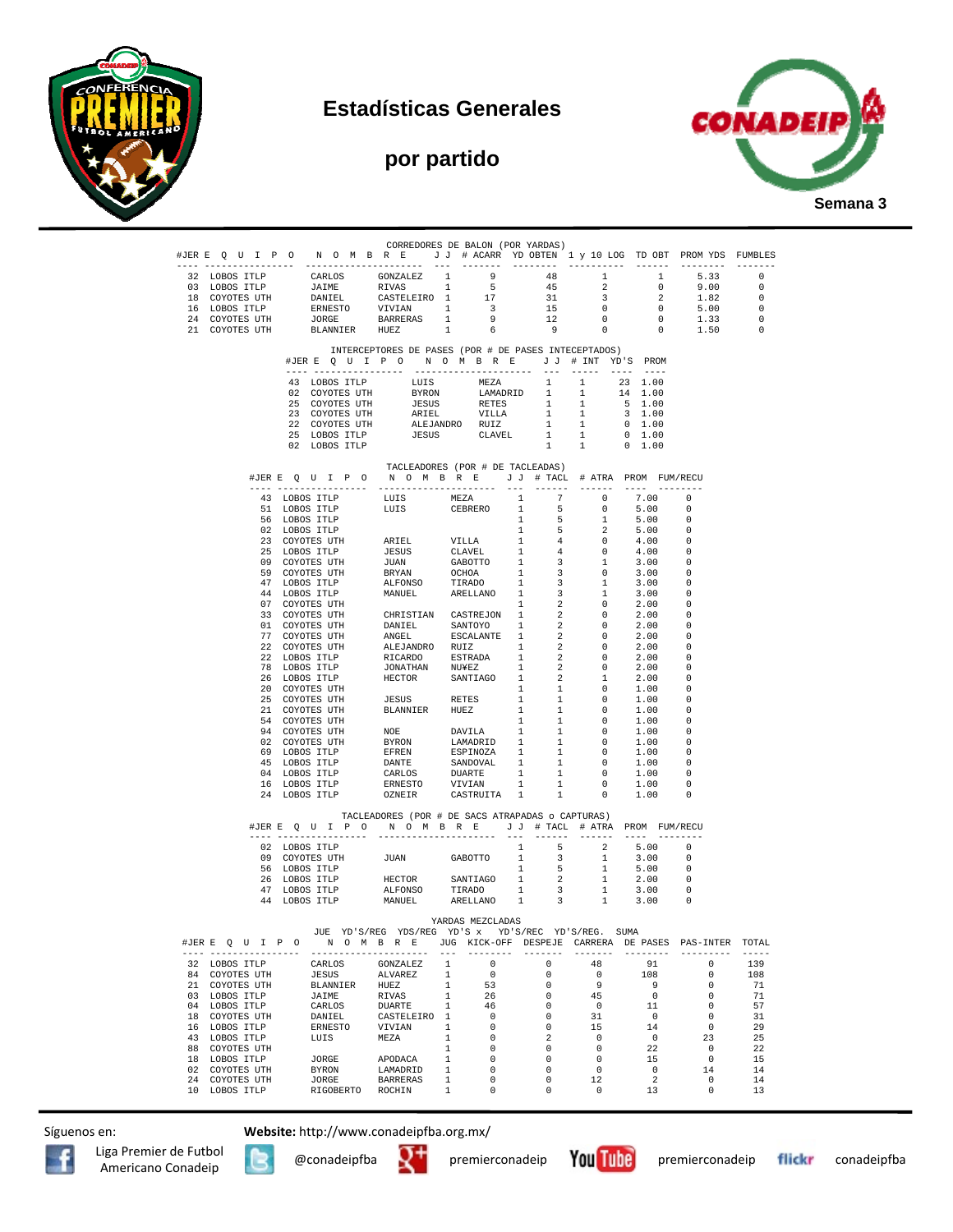

## **Estadísticas Generales**

## **por partido**



|               |                                 | #JERE QUIPON OMBRE JJ # ACARR YDOBTEN 1 y 10 LOG TDOBT PROMYDS FUMBLES                                                                                                                                         | CORREDORES DE BALON (POR YARDAS)                                                    |                                                |                                                                        |                         |                                                                                                        |                                                     |                                  |                                                      |                    |
|---------------|---------------------------------|----------------------------------------------------------------------------------------------------------------------------------------------------------------------------------------------------------------|-------------------------------------------------------------------------------------|------------------------------------------------|------------------------------------------------------------------------|-------------------------|--------------------------------------------------------------------------------------------------------|-----------------------------------------------------|----------------------------------|------------------------------------------------------|--------------------|
|               |                                 |                                                                                                                                                                                                                |                                                                                     |                                                | 9                                                                      |                         | 48                                                                                                     | $\mathbf{1}$                                        | $\mathbf{1}$                     |                                                      |                    |
|               | 32 LOBOS ITLP<br>03 LOBOS ITLP  |                                                                                                                                                                                                                |                                                                                     |                                                |                                                                        |                         |                                                                                                        | $\overline{2}$                                      | $\overline{0}$                   | 5.33<br>9.00                                         | $\circ$<br>$\circ$ |
|               | 18 COYOTES UTH                  |                                                                                                                                                                                                                |                                                                                     |                                                | 17                                                                     |                         |                                                                                                        | $\overline{\mathbf{3}}$                             | $\overline{\phantom{a}}$ 2       | 1.82                                                 | $\circ$            |
|               | 16 LOBOS ITLP                   |                                                                                                                                                                                                                |                                                                                     |                                                | $\overline{\mathbf{3}}$                                                |                         |                                                                                                        | $\overline{0}$                                      | $\overline{0}$                   | 5.00                                                 | $\circ$            |
|               | 24 COYOTES UTH                  | CARLOS GONZALEZ 1<br>JAIME RIVAS 1<br>DANIEL CASTELEIRO 1<br>ERNESTO VIVIAN 1<br>JORGE BARRERAS 1<br>1                                                                                                         |                                                                                     |                                                |                                                                        |                         | $\begin{array}{cccc} 9 & & 10 \\ 5 & & 45 \\ 17 & & 31 \\ 3 & & 15 \\ 9 & & 12 \\ 6 & & 9 \end{array}$ | $\overline{0}$                                      |                                  |                                                      | $\overline{0}$     |
|               | 21 COYOTES UTH                  | BLANNIER HUEZ                                                                                                                                                                                                  |                                                                                     | $\begin{array}{cc} 1\\ 1\\ \end{array}$        | 6                                                                      |                         | 9                                                                                                      | $\overline{0}$                                      |                                  | $\begin{bmatrix} 0 & 1.33 \\ 0 & 1.50 \end{bmatrix}$ | $\Omega$           |
|               |                                 |                                                                                                                                                                                                                | INTERCEPTORES DE PASES (POR # DE PASES INTECEPTADOS)                                |                                                |                                                                        |                         |                                                                                                        |                                                     |                                  |                                                      |                    |
|               |                                 | #JERE QUIPO NOMBRE JJ # INT YD'S PROM                                                                                                                                                                          |                                                                                     |                                                |                                                                        |                         |                                                                                                        | --- ----- ---- ----                                 |                                  |                                                      |                    |
|               |                                 | 43 LOBOS ITLP                                                                                                                                                                                                  | LUIS                                                                                |                                                | $MEZA$ 1                                                               |                         |                                                                                                        | 1                                                   | 23 1.00                          |                                                      |                    |
|               |                                 | 02 COYOTES UTH                                                                                                                                                                                                 |                                                                                     |                                                |                                                                        |                         |                                                                                                        | $\overline{1}$                                      | 14 1.00                          |                                                      |                    |
|               |                                 | 25 COYOTES UTH                                                                                                                                                                                                 |                                                                                     |                                                | BYRON LAMADRID I<br>JESUS RETES 1<br>ARIEL VILLA 1<br>ALEJANDRO RUIZ 1 |                         |                                                                                                        | $\mathbf{1}$                                        | 5 1.00                           |                                                      |                    |
|               |                                 | 23 COYOTES UTH<br>22 COYOTES UTH                                                                                                                                                                               |                                                                                     |                                                |                                                                        |                         |                                                                                                        | $\mathbf{1}$<br>1                                   | 3 1.00<br>$0\quad 1.00$          |                                                      |                    |
|               |                                 | 25 LOBOS ITLP                                                                                                                                                                                                  |                                                                                     | JESUS CLAVEL                                   |                                                                        |                         | 1                                                                                                      | 1                                                   | $0\quad 1.00$                    |                                                      |                    |
|               |                                 | 02 LOBOS ITLP                                                                                                                                                                                                  |                                                                                     |                                                |                                                                        |                         |                                                                                                        | $1 \t 1 \t 0 \t 1.00$                               |                                  |                                                      |                    |
|               |                                 | #JERE QUIPO NOMBRE JJ # TACL # ATRA PROM FUM/RECU                                                                                                                                                              | TACLEADORES (POR # DE TACLEADAS)                                                    |                                                |                                                                        |                         |                                                                                                        |                                                     |                                  |                                                      |                    |
|               |                                 |                                                                                                                                                                                                                |                                                                                     |                                                |                                                                        |                         |                                                                                                        |                                                     | $\cdots$                         |                                                      |                    |
|               |                                 | 43 LOBOS ITLP LUIS MEZA                                                                                                                                                                                        | LUIS MEZA 1<br>LUIS CEBRERO 1                                                       |                                                |                                                                        |                         |                                                                                                        | $7$ 0                                               | 7.00 0                           |                                                      |                    |
|               |                                 | 51 LOBOS ITLP<br>56 LOBOS ITLP                                                                                                                                                                                 |                                                                                     |                                                |                                                                        | 1                       | 5 <sub>5</sub><br>5 <sub>5</sub>                                                                       | $\overline{0}$<br>$\mathbf{1}$                      | 5.00<br>5.00                     | $\Omega$<br>- 0                                      |                    |
|               |                                 | 02 LOBOS ITLP                                                                                                                                                                                                  |                                                                                     |                                                |                                                                        | 1                       | 5 <sub>5</sub>                                                                                         | $\overline{\phantom{0}}^2$                          | 5.00                             | $\Omega$                                             |                    |
|               |                                 | 23 COYOTES UTH                                                                                                                                                                                                 | $\begin{minipage}{0.9\linewidth} \textbf{ARIEL} & \textbf{VILLA} \end{minipage}$    |                                                |                                                                        | $\overline{\mathbf{1}}$ |                                                                                                        | $\overline{\phantom{0}}$                            | 4.00                             | - 0                                                  |                    |
|               |                                 |                                                                                                                                                                                                                |                                                                                     |                                                |                                                                        |                         | 4                                                                                                      | $\sim$ 0                                            | 4.00                             | - 0                                                  |                    |
|               |                                 | 23 CONDE<br>25 LOBOS TLP TRISUS CLAVEL 1<br>25 CONOTES UTH JUAN GABOTTO 1<br>59 COYOTES UTH BRYAN OCHOA 1<br>47 LOBOS TLP ALFONSO TIRADO 1<br>44 LOBOS TLP MANUEL ARELLANO 1<br>44 LOBOS TLP MANUEL ARELLANO 1 |                                                                                     |                                                |                                                                        |                         | $\overline{\phantom{a}}$                                                                               | $\mathbf{1}$                                        | 3.00                             | - 0                                                  |                    |
|               |                                 |                                                                                                                                                                                                                |                                                                                     |                                                |                                                                        |                         | $\overline{\mathbf{3}}$                                                                                | $\overline{\phantom{0}}$                            | 3.00                             | - 0                                                  |                    |
|               |                                 |                                                                                                                                                                                                                |                                                                                     |                                                |                                                                        |                         | $\overline{\mathbf{3}}$                                                                                | 1                                                   | 3.00                             | - 0                                                  |                    |
|               |                                 |                                                                                                                                                                                                                |                                                                                     |                                                |                                                                        |                         | $\overline{\mathbf{3}}$                                                                                | $\mathbf{1}$                                        | 3.00                             | - 0                                                  |                    |
|               |                                 | 07 COYOTES UTH<br>33 COYOTES UTH                                                                                                                                                                               |                                                                                     |                                                |                                                                        | 1                       | $\overline{2}$<br>$\overline{\phantom{a}}$ 2                                                           | $\overline{0}$<br>$\overline{0}$                    | 2.00<br>2.00                     | - 0<br>$\overline{\phantom{0}}$                      |                    |
|               |                                 | 01 COYOTES UTH                                                                                                                                                                                                 | CHRISTIAN CASTREJON 1<br>DANIEL SANTOYO 1                                           |                                                |                                                                        |                         | $\overline{2}$                                                                                         | $\overline{\phantom{0}}$                            | 2.00                             | - 0                                                  |                    |
|               |                                 | 77 COYOTES UTH ANGEL SECALANTE 1<br>22 COYOTES UTH ALEJANDRO RUIZ<br>22 LOBOS ITLP RICARDO ESTRADA 1<br>78 LOBOS ITLP GONATHAN NUYEZ 1<br>26 LOBOS ITLP HECTOR SANTIAGO 1                                      |                                                                                     |                                                |                                                                        |                         | $\overline{2}$                                                                                         | $\overline{0}$                                      | 2.00                             | $^{\circ}$                                           |                    |
|               |                                 |                                                                                                                                                                                                                |                                                                                     |                                                |                                                                        |                         | $\overline{\phantom{a}}$                                                                               | $\overline{0}$                                      | 2.00                             | - 0                                                  |                    |
|               |                                 |                                                                                                                                                                                                                |                                                                                     |                                                |                                                                        |                         | $\overline{\phantom{a}}$ 2                                                                             | $\overline{\phantom{0}}$                            | 2.00                             | . റ                                                  |                    |
|               |                                 |                                                                                                                                                                                                                |                                                                                     |                                                |                                                                        |                         | $\overline{2}$                                                                                         | $\overline{0}$                                      | 2.00                             | - 0                                                  |                    |
|               |                                 |                                                                                                                                                                                                                |                                                                                     |                                                |                                                                        |                         | 2                                                                                                      | $\mathbf{1}$                                        | 2.00                             | $^{\circ}$                                           |                    |
|               |                                 | 20 COYOTES UTH                                                                                                                                                                                                 | JESUS RETES                                                                         |                                                |                                                                        | <sup>1</sup>            | $\mathbf{1}$                                                                                           | $\overline{0}$                                      | 1.00                             | $\Omega$                                             |                    |
|               |                                 | 25 COYOTES UTH<br>21 COYOTES UTH                                                                                                                                                                               | BLANNIER HUEZ                                                                       |                                                |                                                                        | $\sim$ 1<br>1           | $\mathbf{1}$<br>1                                                                                      | $\overline{\phantom{0}}$<br>$\overline{0}$          | 1.00<br>1.00                     | - 0<br>- 0                                           |                    |
|               |                                 | 54 COYOTES UTH                                                                                                                                                                                                 |                                                                                     |                                                |                                                                        | 1                       | <sup>1</sup>                                                                                           | $\overline{\mathbf{0}}$                             | 1.00                             | - 0                                                  |                    |
|               |                                 | 94 COYOTES UTH                                                                                                                                                                                                 | NOE DAVILA <sup>1</sup><br>BYRON LAMADRID 1<br>EFREN ESPINOZA 1<br>DANTE SANDOVAL 1 |                                                |                                                                        |                         | $\overline{1}$                                                                                         | $\overline{\phantom{0}}$                            | 1.00                             | $\Omega$                                             |                    |
|               |                                 | 02 COYOTES UTH                                                                                                                                                                                                 |                                                                                     |                                                |                                                                        |                         | $\mathbf{1}$                                                                                           | $\sim$ 0                                            | 1.00                             | - 0                                                  |                    |
|               |                                 | 69 LOBOS ITLP                                                                                                                                                                                                  |                                                                                     |                                                |                                                                        |                         | $\mathbf{1}$                                                                                           | $\overline{0}$                                      | 1.00                             | - 0                                                  |                    |
| 45 LOBOS ITLP |                                 |                                                                                                                                                                                                                |                                                                                     |                                                |                                                                        |                         | $\mathbf{1}$                                                                                           | $\overline{0}$                                      | 1.00                             | - 0                                                  |                    |
|               |                                 | 04 LOBOS ITLP<br>16 LOBOS ITLP                                                                                                                                                                                 | CARLOS<br>ERNESTO                                                                   |                                                | DUARTE 1<br>VIVIAN 1                                                   |                         | $\mathbf{1}$<br>1                                                                                      | $\overline{\mathbf{0}}$<br>$\overline{\phantom{0}}$ | 1.00<br>1.00                     | $\overline{\phantom{0}}$<br>- 0                      |                    |
|               |                                 | 24 LOBOS ITLP                                                                                                                                                                                                  | OZNEIR                                                                              |                                                | CASTRUITA 1                                                            |                         | $\overline{1}$                                                                                         | $\overline{0}$                                      | 1.00                             | $\overline{\phantom{0}}$                             |                    |
|               |                                 | #JERE QUIPO NOMBRE JJ # TACL # ATRA PROM FUM/RECU                                                                                                                                                              | TACLEADORES (POR # DE SACS ATRAPADAS o CAPTURAS)                                    |                                                |                                                                        |                         |                                                                                                        |                                                     |                                  |                                                      |                    |
|               |                                 |                                                                                                                                                                                                                |                                                                                     |                                                |                                                                        |                         |                                                                                                        |                                                     |                                  |                                                      |                    |
|               |                                 | 02 LOBOS ITLP                                                                                                                                                                                                  |                                                                                     |                                                |                                                                        | 1                       | 5                                                                                                      | $\overline{2}$                                      | 5.00                             | $\Omega$                                             |                    |
|               |                                 | 09 COYOTES UTH                                                                                                                                                                                                 | JUAN GABOTTO                                                                        |                                                |                                                                        | 1                       | $\overline{\mathbf{3}}$                                                                                | 1                                                   | 3.00                             | - 0                                                  |                    |
|               |                                 | 56 LOBOS ITLP                                                                                                                                                                                                  |                                                                                     |                                                |                                                                        | $\overline{1}$          | $-5$                                                                                                   | 1                                                   | 5.00                             | - 0                                                  |                    |
|               |                                 |                                                                                                                                                                                                                |                                                                                     |                                                |                                                                        |                         |                                                                                                        |                                                     |                                  |                                                      |                    |
|               |                                 | $\begin{tabular}{cccccc} 26 & LOBOS & TTLP & & HECTOR & SANTIAGO & 1 & 2 & 1 \\ 47 & LOBOS & TTLP & & ALFONSO & TIRADO & 1 & 3 & 1 \\ 44 & LOBOS & TTLP & & MANUEL & ARELLANO & 1 & 3 & 1 \\ \end{tabular}$    |                                                                                     |                                                |                                                                        |                         |                                                                                                        |                                                     | $2.00$ 0<br>$3.00$ 0<br>$3.00$ 0 |                                                      |                    |
|               |                                 |                                                                                                                                                                                                                |                                                                                     |                                                | YARDAS MEZCLADAS                                                       |                         |                                                                                                        |                                                     |                                  |                                                      |                    |
|               |                                 |                                                                                                                                                                                                                | JUE YD'S/REG YDS/REG YD'S x YD'S/REC YD'S/REG. SUMA                                 |                                                |                                                                        |                         |                                                                                                        |                                                     |                                  |                                                      |                    |
|               |                                 | #JER E Q U I P O M O M B R E JUG KICK-OFF DESPEJE CARRERA DE PASES PAS-INTER TOTAL                                                                                                                             |                                                                                     |                                                |                                                                        |                         | ________                                                                                               | --------                                            |                                  |                                                      | $- - - - - -$      |
|               | 32 LOBOS ITLP                   | CARLOS                                                                                                                                                                                                         | GONZALEZ                                                                            | <sup>1</sup>                                   | $\overline{0}$                                                         |                         | $^{\circ}$                                                                                             | 48                                                  | 91                               | $\Omega$                                             | 139                |
|               | 84 COYOTES UTH                  | JESUS                                                                                                                                                                                                          | <b>ALVAREZ</b>                                                                      | 1                                              | $\overline{0}$                                                         |                         | $\mathbf 0$                                                                                            | $\overline{\phantom{0}}$                            | 108                              | $^{\circ}$                                           | 108                |
|               | 21 COYOTES UTH<br>03 LOBOS ITLP | BLANNIER HUEZ<br>JAIME                                                                                                                                                                                         | RIVAS                                                                               | $\mathbf{1}$<br>1                              | 53<br>26                                                               |                         | $^{\circ}$<br>$\circ$                                                                                  | 9                                                   | - 9                              | $\Omega$<br>$^{\circ}$                               | - 71<br>71         |
|               | 04 LOBOS ITLP                   | CARLOS                                                                                                                                                                                                         | $\sim$ 1<br><b>DUARTE</b>                                                           |                                                | $\frac{28}{46}$                                                        |                         | $\overline{0}$                                                                                         | 45<br>$\overline{0}$                                | $\overline{0}$<br>11             | $^{\circ}$                                           | 57                 |
|               | 18 COYOTES UTH                  | DANIEL                                                                                                                                                                                                         | CASTELEIRO 1                                                                        |                                                | $\overline{\phantom{0}}$                                               |                         | $^{\circ}$                                                                                             | 31                                                  | $\overline{0}$                   | $\overline{0}$                                       | 31                 |
|               | 16 LOBOS ITLP                   | ERNESTO                                                                                                                                                                                                        | VIVIAN                                                                              | $\mathbf{1}$                                   | $\overline{\phantom{0}}$                                               |                         | $\overline{0}$                                                                                         | 15                                                  | 14                               | $\overline{0}$                                       | 29                 |
|               | 43 LOBOS ITLP                   | LUIS                                                                                                                                                                                                           | MEZA                                                                                | $\mathbf{1}$                                   | $\overline{0}$                                                         |                         | 2                                                                                                      | $\overline{0}$                                      | $\overline{0}$                   | 23                                                   | 25                 |
|               | 88 COYOTES UTH                  |                                                                                                                                                                                                                |                                                                                     | $\mathbf{1}$                                   | $\overline{0}$                                                         |                         | $^{\circ}$                                                                                             | $\overline{0}$                                      | 22                               | $\overline{0}$                                       | 22                 |
|               | 18 LOBOS ITLP                   | JORGE                                                                                                                                                                                                          | APODACA                                                                             | $\mathbf{1}$                                   | $\overline{\phantom{0}}$                                               |                         | $\mathbf 0$                                                                                            | $\overline{\phantom{0}}$                            | 15                               | $\overline{\phantom{0}}$                             | 15                 |
|               | 02 COYOTES UTH                  | <b>BYRON</b><br><b>JORGE</b>                                                                                                                                                                                   | LAMADRID 1                                                                          |                                                | $\overline{0}$<br>$\overline{\phantom{0}}$                             |                         | $^{\circ}$                                                                                             | $\overline{0}$                                      | $\overline{0}$                   | 14                                                   | 14                 |
|               | 24 COYOTES UTH<br>10 LOBOS ITLP |                                                                                                                                                                                                                | <b>BARRERAS</b><br>RIGOBERTO ROCHIN                                                 | $\mathbf{1}$<br>$\mathbf{1}$<br>$\overline{0}$ |                                                                        |                         | 0<br>$^{\circ}$                                                                                        | 12<br>$\sim$ 0                                      | 2<br>13                          | $\overline{0}$<br>$^{\circ}$                         | 14<br>13           |

Síguenos en: **Website:** http://www.conadeipfba.org.mx/